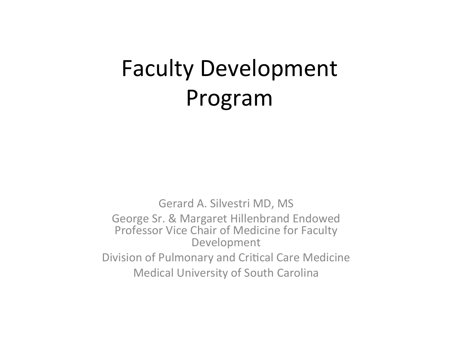# Faculty Development Program

Gerard A. Silvestri MD, MS George Sr. & Margaret Hillenbrand Endowed Professor Vice Chair of Medicine for Faculty Development Division of Pulmonary and Critical Care Medicine **Medical University of South Carolina**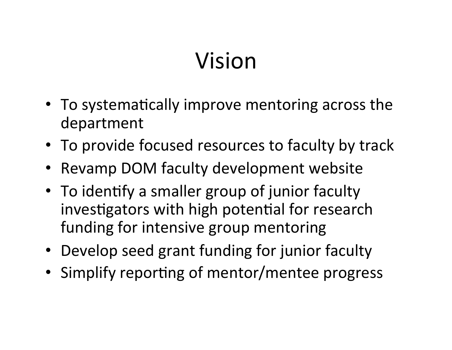# Vision

- To systematically improve mentoring across the department
- To provide focused resources to faculty by track
- Revamp DOM faculty development website
- To identify a smaller group of junior faculty investigators with high potential for research funding for intensive group mentoring
- Develop seed grant funding for junior faculty
- Simplify reporting of mentor/mentee progress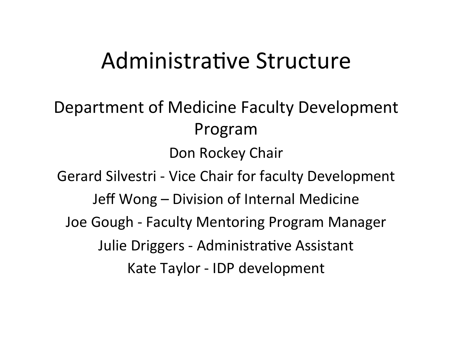### Administrative Structure

Department of Medicine Faculty Development Program Don Rockey Chair

Gerard Silvestri - Vice Chair for faculty Development Jeff Wong – Division of Internal Medicine Joe Gough - Faculty Mentoring Program Manager Julie Driggers - Administrative Assistant Kate Taylor - IDP development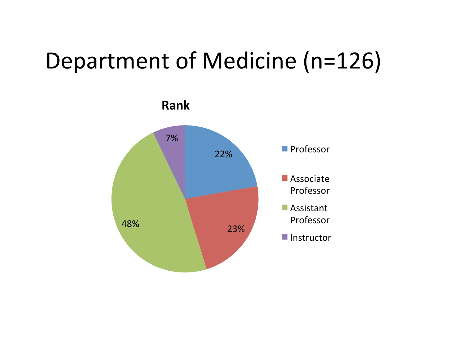# Department of Medicine (n=126)

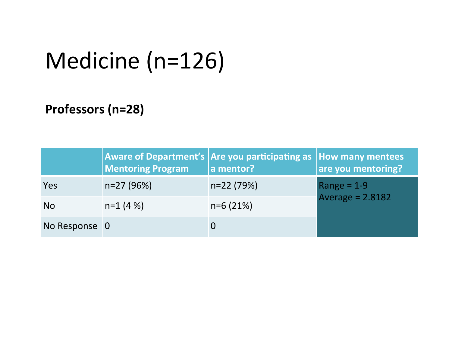# Medicine (n=126)

#### Professors (n=28)

|               | <b>Mentoring Program</b> | <b>Aware of Department's Are you participating as How many mentees</b><br>a mentor? | are you mentoring?              |  |
|---------------|--------------------------|-------------------------------------------------------------------------------------|---------------------------------|--|
| <b>Yes</b>    | $n=27(96%)$              | $n=22(79%)$                                                                         | Range = 1-9<br>Average = 2.8182 |  |
| <b>No</b>     | $n=1$ (4 %)              | $n=6(21%)$                                                                          |                                 |  |
| No Response 0 |                          |                                                                                     |                                 |  |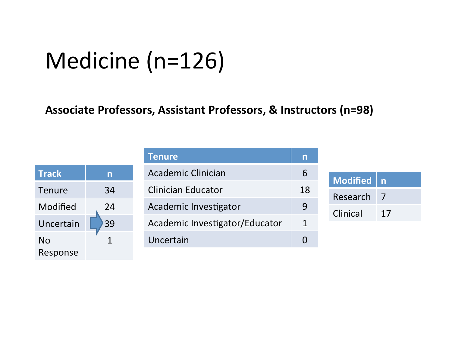# Medicine (n=126)

#### Associate Professors, Assistant Professors, & Instructors (n=98)

| <b>Track</b> | n  |  |  |
|--------------|----|--|--|
| Tenure       | 34 |  |  |
| Modified     | 24 |  |  |
| Uncertain    | 39 |  |  |
| No           | 1  |  |  |
| Response     |    |  |  |

| <b>Tenure</b>                  |  |
|--------------------------------|--|
| Academic Clinician             |  |
| <b>Clinician Educator</b>      |  |
| Academic Investigator          |  |
| Academic Investigator/Educator |  |
| Uncertain                      |  |

| Modified   n |    |  |
|--------------|----|--|
| Research     |    |  |
| Clinical     | 17 |  |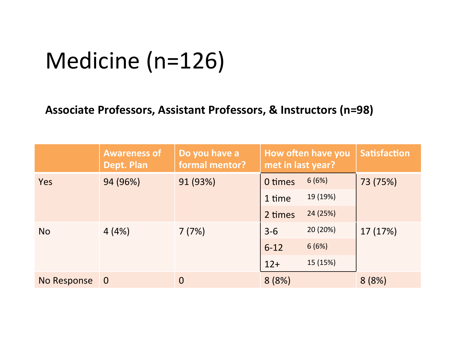# Medicine (n=126)

#### Associate Professors, Assistant Professors, & Instructors (n=98)

|             | <b>Awareness of</b><br>Dept. Plan | Do you have a<br>formal mentor? | How often have you<br>met in last year? |          | <b>Satisfaction</b> |
|-------------|-----------------------------------|---------------------------------|-----------------------------------------|----------|---------------------|
| Yes         | 94 (96%)                          | 91 (93%)                        | 0 times                                 | 6(6%)    | 73 (75%)            |
|             |                                   |                                 | 1 time                                  | 19 (19%) |                     |
|             |                                   |                                 | 2 times                                 | 24 (25%) |                     |
| <b>No</b>   | 4(4%)                             | 7(7%)                           | $3 - 6$                                 | 20 (20%) | 17 (17%)            |
|             |                                   |                                 | $6 - 12$                                | 6(6%)    |                     |
|             |                                   |                                 | $12+$                                   | 15 (15%) |                     |
| No Response | $\overline{0}$                    | $\overline{0}$                  | 8(8%)                                   |          | 8(8%)               |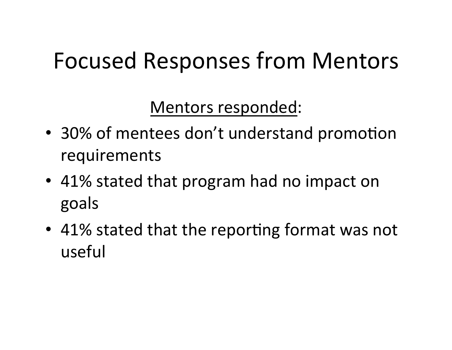# Focused Responses from Mentors

Mentors responded:

- 30% of mentees don't understand promotion requirements
- 41% stated that program had no impact on goals
- 41% stated that the reporting format was not useful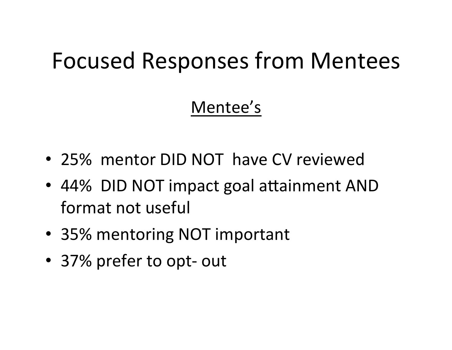## Focused Responses from Mentees

### Mentee's

- 25% mentor DID NOT have CV reviewed
- 44% DID NOT impact goal attainment AND format not useful
- 35% mentoring NOT important
- 37% prefer to opt- out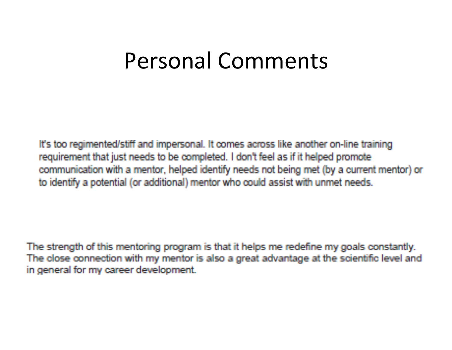### Personal Comments

It's too regimented/stiff and impersonal. It comes across like another on-line training requirement that just needs to be completed. I don't feel as if it helped promote communication with a mentor, helped identify needs not being met (by a current mentor) or to identify a potential (or additional) mentor who could assist with unmet needs.

The strength of this mentoring program is that it helps me redefine my goals constantly. The close connection with my mentor is also a great advantage at the scientific level and in general for my career development.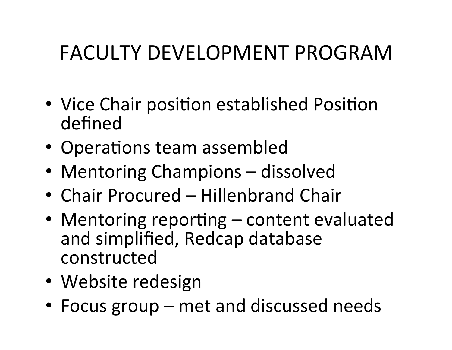### FACULTY DEVELOPMENT PROGRAM

- Vice Chair position established Position defined
- Operations team assembled
- Mentoring Champions dissolved
- Chair Procured Hillenbrand Chair
- Mentoring reporting content evaluated and simplified, Redcap database constructed
- Website redesign
- Focus group met and discussed needs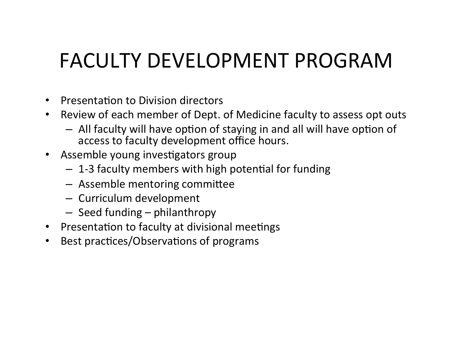## FACULTY DEVELOPMENT PROGRAM

- Presentation to Division directors
- Review of each member of Dept. of Medicine faculty to assess opt outs
	- $-$  All faculty will have option of staying in and all will have option of access to faculty development office hours.
- Assemble young investigators group
	- $-$  1-3 faculty members with high potential for funding
	- Assemble mentoring committee
	- Curriculum development
	- $-$  Seed funding  $-$  philanthropy
- Presentation to faculty at divisional meetings
- Best practices/Observations of programs